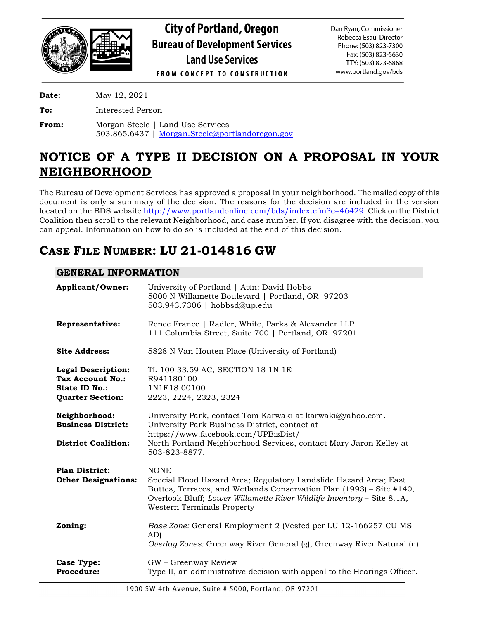

# **City of Portland, Oregon Bureau of Development Services Land Use Services**

Dan Ryan, Commissioner Rebecca Esau, Director Phone: (503) 823-7300 Fax: (503) 823-5630 TTY: (503) 823-6868 www.portland.gov/bds

**FROM CONCEPT TO CONSTRUCTION** 

**Date:** May 12, 2021

**To:** Interested Person

**From:** Morgan Steele | Land Use Services 503.865.6437 | [Morgan.Steele@portlandoregon.gov](mailto:Morgan.Steele@portlandoregon.gov)

# **NOTICE OF A TYPE II DECISION ON A PROPOSAL IN YOUR NEIGHBORHOOD**

The Bureau of Development Services has approved a proposal in your neighborhood. The mailed copy of this document is only a summary of the decision. The reasons for the decision are included in the version located on the BDS websit[e http://www.portlandonline.com/bds/index.cfm?c=46429](http://www.portlandonline.com/bds/index.cfm?c=46429). Click on the District Coalition then scroll to the relevant Neighborhood, and case number. If you disagree with the decision, you can appeal. Information on how to do so is included at the end of this decision.

# **CASE FILE NUMBER: LU 21-014816 GW**

# **GENERAL INFORMATION**

| <b>Applicant/Owner:</b>                                                                          | University of Portland   Attn: David Hobbs<br>5000 N Willamette Boulevard   Portland, OR 97203<br>503.943.7306   hobbsd@up.edu                                                                                                                                   |  |
|--------------------------------------------------------------------------------------------------|------------------------------------------------------------------------------------------------------------------------------------------------------------------------------------------------------------------------------------------------------------------|--|
| Representative:                                                                                  | Renee France   Radler, White, Parks & Alexander LLP<br>111 Columbia Street, Suite 700   Portland, OR 97201                                                                                                                                                       |  |
| <b>Site Address:</b>                                                                             | 5828 N Van Houten Place (University of Portland)                                                                                                                                                                                                                 |  |
| <b>Legal Description:</b><br><b>Tax Account No.:</b><br>State ID No.:<br><b>Quarter Section:</b> | TL 100 33.59 AC, SECTION 18 1N 1E<br>R941180100<br>1N1E18 00100<br>2223, 2224, 2323, 2324                                                                                                                                                                        |  |
| Neighborhood:<br><b>Business District:</b><br><b>District Coalition:</b>                         | University Park, contact Tom Karwaki at karwaki@yahoo.com.<br>University Park Business District, contact at<br>https://www.facebook.com/UPBizDist/<br>North Portland Neighborhood Services, contact Mary Jaron Kelley at<br>503-823-8877.                        |  |
| <b>Plan District:</b><br><b>Other Designations:</b>                                              | <b>NONE</b><br>Special Flood Hazard Area; Regulatory Landslide Hazard Area; East<br>Buttes, Terraces, and Wetlands Conservation Plan (1993) - Site #140,<br>Overlook Bluff; Lower Willamette River Wildlife Inventory - Site 8.1A,<br>Western Terminals Property |  |
| Zoning:                                                                                          | Base Zone: General Employment 2 (Vested per LU 12-166257 CU MS<br>AD)<br>Overlay Zones: Greenway River General (g), Greenway River Natural (n)                                                                                                                   |  |
| <b>Case Type:</b><br><b>Procedure:</b>                                                           | GW - Greenway Review<br>Type II, an administrative decision with appeal to the Hearings Officer.                                                                                                                                                                 |  |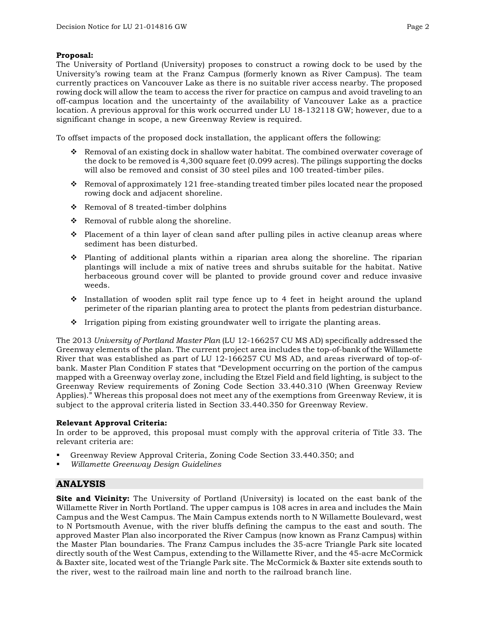# **Proposal:**

The University of Portland (University) proposes to construct a rowing dock to be used by the University's rowing team at the Franz Campus (formerly known as River Campus). The team currently practices on Vancouver Lake as there is no suitable river access nearby. The proposed rowing dock will allow the team to access the river for practice on campus and avoid traveling to an off-campus location and the uncertainty of the availability of Vancouver Lake as a practice location. A previous approval for this work occurred under LU 18-132118 GW; however, due to a significant change in scope, a new Greenway Review is required.

To offset impacts of the proposed dock installation, the applicant offers the following:

- Removal of an existing dock in shallow water habitat. The combined overwater coverage of the dock to be removed is 4,300 square feet (0.099 acres). The pilings supporting the docks will also be removed and consist of 30 steel piles and 100 treated-timber piles.
- Removal of approximately 121 free-standing treated timber piles located near the proposed rowing dock and adjacent shoreline.
- $\div$  Removal of 8 treated-timber dolphins
- $\triangle$  Removal of rubble along the shoreline.
- $\bullet$  Placement of a thin layer of clean sand after pulling piles in active cleanup areas where sediment has been disturbed.
- $\hat{\mathbf{v}}$  Planting of additional plants within a riparian area along the shoreline. The riparian plantings will include a mix of native trees and shrubs suitable for the habitat. Native herbaceous ground cover will be planted to provide ground cover and reduce invasive weeds.
- $\cdot$  Installation of wooden split rail type fence up to 4 feet in height around the upland perimeter of the riparian planting area to protect the plants from pedestrian disturbance.
- $\cdot$  Irrigation piping from existing groundwater well to irrigate the planting areas.

The 2013 *University of Portland Master Plan* (LU 12-166257 CU MS AD) specifically addressed the Greenway elements of the plan. The current project area includes the top-of-bank of the Willamette River that was established as part of LU 12-166257 CU MS AD, and areas riverward of top-ofbank. Master Plan Condition F states that "Development occurring on the portion of the campus mapped with a Greenway overlay zone, including the Etzel Field and field lighting, is subject to the Greenway Review requirements of Zoning Code Section 33.440.310 (When Greenway Review Applies)." Whereas this proposal does not meet any of the exemptions from Greenway Review, it is subject to the approval criteria listed in Section 33.440.350 for Greenway Review.

### **Relevant Approval Criteria:**

In order to be approved, this proposal must comply with the approval criteria of Title 33. The relevant criteria are:

- Greenway Review Approval Criteria, Zoning Code Section 33.440.350; and
- *Willamette Greenway Design Guidelines*

# **ANALYSIS**

**Site and Vicinity:** The University of Portland (University) is located on the east bank of the Willamette River in North Portland. The upper campus is 108 acres in area and includes the Main Campus and the West Campus. The Main Campus extends north to N Willamette Boulevard, west to N Portsmouth Avenue, with the river bluffs defining the campus to the east and south. The approved Master Plan also incorporated the River Campus (now known as Franz Campus) within the Master Plan boundaries. The Franz Campus includes the 35-acre Triangle Park site located directly south of the West Campus, extending to the Willamette River, and the 45-acre McCormick & Baxter site, located west of the Triangle Park site. The McCormick & Baxter site extends south to the river, west to the railroad main line and north to the railroad branch line.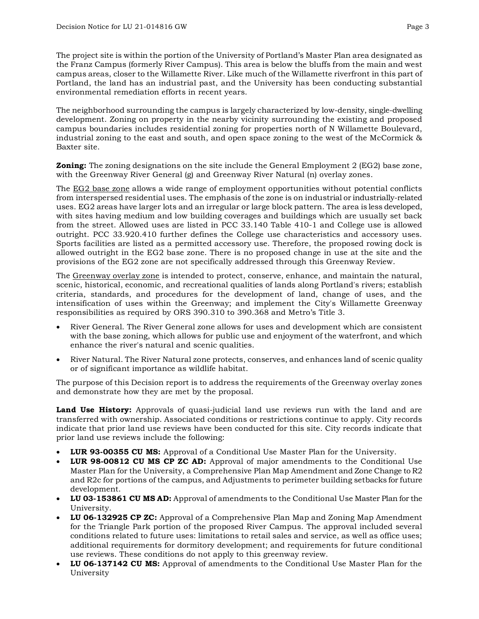The project site is within the portion of the University of Portland's Master Plan area designated as

the Franz Campus (formerly River Campus). This area is below the bluffs from the main and west campus areas, closer to the Willamette River. Like much of the Willamette riverfront in this part of Portland, the land has an industrial past, and the University has been conducting substantial environmental remediation efforts in recent years.

The neighborhood surrounding the campus is largely characterized by low-density, single-dwelling development. Zoning on property in the nearby vicinity surrounding the existing and proposed campus boundaries includes residential zoning for properties north of N Willamette Boulevard, industrial zoning to the east and south, and open space zoning to the west of the McCormick & Baxter site.

**Zoning:** The zoning designations on the site include the General Employment 2 (EG2) base zone, with the Greenway River General (g) and Greenway River Natural (n) overlay zones.

The EG2 base zone allows a wide range of employment opportunities without potential conflicts from interspersed residential uses. The emphasis of the zone is on industrial or industrially-related uses. EG2 areas have larger lots and an irregular or large block pattern. The area is less developed, with sites having medium and low building coverages and buildings which are usually set back from the street. Allowed uses are listed in PCC 33.140 Table 410-1 and College use is allowed outright. PCC 33.920.410 further defines the College use characteristics and accessory uses. Sports facilities are listed as a permitted accessory use. Therefore, the proposed rowing dock is allowed outright in the EG2 base zone. There is no proposed change in use at the site and the provisions of the EG2 zone are not specifically addressed through this Greenway Review.

The Greenway overlay zone is intended to protect, conserve, enhance, and maintain the natural, scenic, historical, economic, and recreational qualities of lands along Portland's rivers; establish criteria, standards, and procedures for the development of land, change of uses, and the intensification of uses within the Greenway; and implement the City's Willamette Greenway responsibilities as required by ORS 390.310 to 390.368 and Metro's Title 3.

- River General. The River General zone allows for uses and development which are consistent with the base zoning, which allows for public use and enjoyment of the waterfront, and which enhance the river's natural and scenic qualities.
- River Natural. The River Natural zone protects, conserves, and enhances land of scenic quality or of significant importance as wildlife habitat.

The purpose of this Decision report is to address the requirements of the Greenway overlay zones and demonstrate how they are met by the proposal.

**Land Use History:** Approvals of quasi-judicial land use reviews run with the land and are transferred with ownership. Associated conditions or restrictions continue to apply. City records indicate that prior land use reviews have been conducted for this site. City records indicate that prior land use reviews include the following:

- **LUR 93-00355 CU MS:** Approval of a Conditional Use Master Plan for the University.
- **LUR 98-00812 CU MS CP ZC AD:** Approval of major amendments to the Conditional Use Master Plan for the University, a Comprehensive Plan Map Amendment and Zone Change to R2 and R2c for portions of the campus, and Adjustments to perimeter building setbacks for future development.
- **LU 03-153861 CU MS AD:** Approval of amendments to the Conditional Use Master Plan for the University.
- **LU 06-132925 CP ZC:** Approval of a Comprehensive Plan Map and Zoning Map Amendment for the Triangle Park portion of the proposed River Campus. The approval included several conditions related to future uses: limitations to retail sales and service, as well as office uses; additional requirements for dormitory development; and requirements for future conditional use reviews. These conditions do not apply to this greenway review.
- **LU 06-137142 CU MS:** Approval of amendments to the Conditional Use Master Plan for the University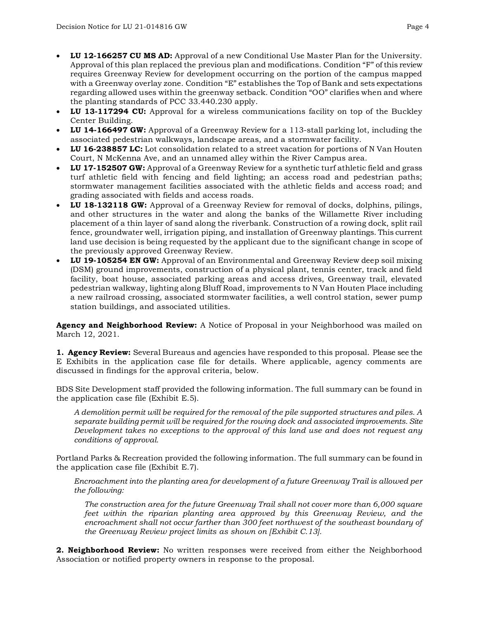- **LU 12-166257 CU MS AD:** Approval of a new Conditional Use Master Plan for the University. Approval of this plan replaced the previous plan and modifications. Condition "F" of this review requires Greenway Review for development occurring on the portion of the campus mapped with a Greenway overlay zone. Condition "E" establishes the Top of Bank and sets expectations regarding allowed uses within the greenway setback. Condition "OO" clarifies when and where the planting standards of PCC 33.440.230 apply.
- **LU 13-117294 CU:** Approval for a wireless communications facility on top of the Buckley Center Building.
- **LU 14-166497 GW:** Approval of a Greenway Review for a 113-stall parking lot, including the associated pedestrian walkways, landscape areas, and a stormwater facility.
- **LU 16-238857 LC:** Lot consolidation related to a street vacation for portions of N Van Houten Court, N McKenna Ave, and an unnamed alley within the River Campus area.
- **LU 17-152507 GW:** Approval of a Greenway Review for a synthetic turf athletic field and grass turf athletic field with fencing and field lighting; an access road and pedestrian paths; stormwater management facilities associated with the athletic fields and access road; and grading associated with fields and access roads.
- **LU 18-132118 GW:** Approval of a Greenway Review for removal of docks, dolphins, pilings, and other structures in the water and along the banks of the Willamette River including placement of a thin layer of sand along the riverbank. Construction of a rowing dock, split rail fence, groundwater well, irrigation piping, and installation of Greenway plantings. This current land use decision is being requested by the applicant due to the significant change in scope of the previously approved Greenway Review.
- **LU 19-105254 EN GW:** Approval of an Environmental and Greenway Review deep soil mixing (DSM) ground improvements, construction of a physical plant, tennis center, track and field facility, boat house, associated parking areas and access drives, Greenway trail, elevated pedestrian walkway, lighting along Bluff Road, improvements to N Van Houten Place including a new railroad crossing, associated stormwater facilities, a well control station, sewer pump station buildings, and associated utilities.

**Agency and Neighborhood Review:** A Notice of Proposal in your Neighborhood was mailed on March 12, 2021.

**1. Agency Review:** Several Bureaus and agencies have responded to this proposal. Please see the E Exhibits in the application case file for details. Where applicable, agency comments are discussed in findings for the approval criteria, below.

BDS Site Development staff provided the following information. The full summary can be found in the application case file (Exhibit E.5).

*A demolition permit will be required for the removal of the pile supported structures and piles. A separate building permit will be required for the rowing dock and associated improvements. Site Development takes no exceptions to the approval of this land use and does not request any conditions of approval.*

Portland Parks & Recreation provided the following information. The full summary can be found in the application case file (Exhibit E.7).

*Encroachment into the planting area for development of a future Greenway Trail is allowed per the following:*

*The construction area for the future Greenway Trail shall not cover more than 6,000 square feet within the riparian planting area approved by this Greenway Review, and the encroachment shall not occur farther than 300 feet northwest of the southeast boundary of the Greenway Review project limits as shown on [Exhibit C.13].*

**2. Neighborhood Review:** No written responses were received from either the Neighborhood Association or notified property owners in response to the proposal.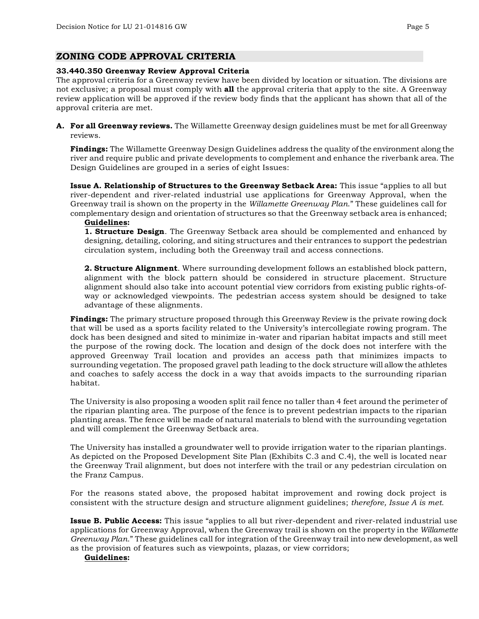# **ZONING CODE APPROVAL CRITERIA**

### **33.440.350 Greenway Review Approval Criteria**

The approval criteria for a Greenway review have been divided by location or situation. The divisions are not exclusive; a proposal must comply with **all** the approval criteria that apply to the site. A Greenway review application will be approved if the review body finds that the applicant has shown that all of the approval criteria are met.

**A. For all Greenway reviews.** The Willamette Greenway design guidelines must be met for all Greenway reviews.

**Findings:** The Willamette Greenway Design Guidelines address the quality of the environment along the river and require public and private developments to complement and enhance the riverbank area. The Design Guidelines are grouped in a series of eight Issues:

**Issue A. Relationship of Structures to the Greenway Setback Area:** This issue "applies to all but river-dependent and river-related industrial use applications for Greenway Approval, when the Greenway trail is shown on the property in the *Willamette Greenway Plan*." These guidelines call for complementary design and orientation of structures so that the Greenway setback area is enhanced;

#### **Guidelines:**

**1. Structure Design**. The Greenway Setback area should be complemented and enhanced by designing, detailing, coloring, and siting structures and their entrances to support the pedestrian circulation system, including both the Greenway trail and access connections.

**2. Structure Alignment**. Where surrounding development follows an established block pattern, alignment with the block pattern should be considered in structure placement. Structure alignment should also take into account potential view corridors from existing public rights-ofway or acknowledged viewpoints. The pedestrian access system should be designed to take advantage of these alignments.

**Findings:** The primary structure proposed through this Greenway Review is the private rowing dock that will be used as a sports facility related to the University's intercollegiate rowing program. The dock has been designed and sited to minimize in-water and riparian habitat impacts and still meet the purpose of the rowing dock. The location and design of the dock does not interfere with the approved Greenway Trail location and provides an access path that minimizes impacts to surrounding vegetation. The proposed gravel path leading to the dock structure will allow the athletes and coaches to safely access the dock in a way that avoids impacts to the surrounding riparian habitat.

The University is also proposing a wooden split rail fence no taller than 4 feet around the perimeter of the riparian planting area. The purpose of the fence is to prevent pedestrian impacts to the riparian planting areas. The fence will be made of natural materials to blend with the surrounding vegetation and will complement the Greenway Setback area.

The University has installed a groundwater well to provide irrigation water to the riparian plantings. As depicted on the Proposed Development Site Plan (Exhibits C.3 and C.4), the well is located near the Greenway Trail alignment, but does not interfere with the trail or any pedestrian circulation on the Franz Campus.

For the reasons stated above, the proposed habitat improvement and rowing dock project is consistent with the structure design and structure alignment guidelines; *therefore, Issue A is met.*

**Issue B. Public Access:** This issue "applies to all but river-dependent and river-related industrial use applications for Greenway Approval, when the Greenway trail is shown on the property in the *Willamette Greenway Plan*." These guidelines call for integration of the Greenway trail into new development, as well as the provision of features such as viewpoints, plazas, or view corridors;

### **Guidelines:**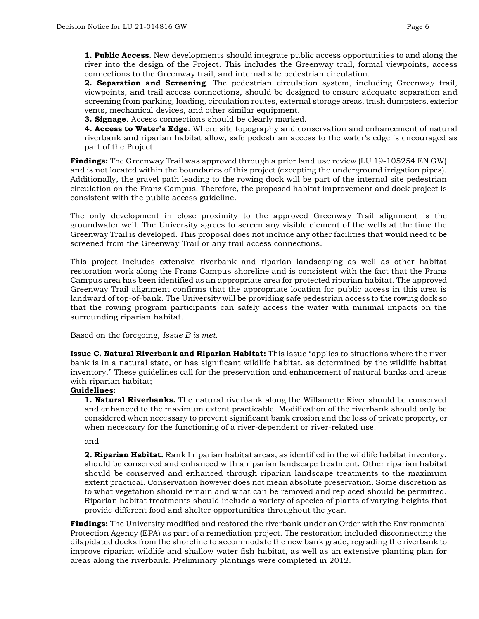**1. Public Access**. New developments should integrate public access opportunities to and along the river into the design of the Project. This includes the Greenway trail, formal viewpoints, access connections to the Greenway trail, and internal site pedestrian circulation.

**2. Separation and Screening**. The pedestrian circulation system, including Greenway trail, viewpoints, and trail access connections, should be designed to ensure adequate separation and screening from parking, loading, circulation routes, external storage areas, trash dumpsters, exterior vents, mechanical devices, and other similar equipment.

**3. Signage**. Access connections should be clearly marked.

**4. Access to Water's Edge**. Where site topography and conservation and enhancement of natural riverbank and riparian habitat allow, safe pedestrian access to the water's edge is encouraged as part of the Project.

**Findings:** The Greenway Trail was approved through a prior land use review (LU 19-105254 EN GW) and is not located within the boundaries of this project (excepting the underground irrigation pipes). Additionally, the gravel path leading to the rowing dock will be part of the internal site pedestrian circulation on the Franz Campus. Therefore, the proposed habitat improvement and dock project is consistent with the public access guideline.

The only development in close proximity to the approved Greenway Trail alignment is the groundwater well. The University agrees to screen any visible element of the wells at the time the Greenway Trail is developed. This proposal does not include any other facilities that would need to be screened from the Greenway Trail or any trail access connections.

This project includes extensive riverbank and riparian landscaping as well as other habitat restoration work along the Franz Campus shoreline and is consistent with the fact that the Franz Campus area has been identified as an appropriate area for protected riparian habitat. The approved Greenway Trail alignment confirms that the appropriate location for public access in this area is landward of top-of-bank. The University will be providing safe pedestrian access to the rowing dock so that the rowing program participants can safely access the water with minimal impacts on the surrounding riparian habitat.

Based on the foregoing, *Issue B is met.*

**Issue C. Natural Riverbank and Riparian Habitat:** This issue "applies to situations where the river bank is in a natural state, or has significant wildlife habitat, as determined by the wildlife habitat inventory." These guidelines call for the preservation and enhancement of natural banks and areas with riparian habitat;

### **Guidelines:**

**1. Natural Riverbanks.** The natural riverbank along the Willamette River should be conserved and enhanced to the maximum extent practicable. Modification of the riverbank should only be considered when necessary to prevent significant bank erosion and the loss of private property, or when necessary for the functioning of a river-dependent or river-related use.

and

**2. Riparian Habitat.** Rank I riparian habitat areas, as identified in the wildlife habitat inventory, should be conserved and enhanced with a riparian landscape treatment. Other riparian habitat should be conserved and enhanced through riparian landscape treatments to the maximum extent practical. Conservation however does not mean absolute preservation. Some discretion as to what vegetation should remain and what can be removed and replaced should be permitted. Riparian habitat treatments should include a variety of species of plants of varying heights that provide different food and shelter opportunities throughout the year.

**Findings:** The University modified and restored the riverbank under an Order with the Environmental Protection Agency (EPA) as part of a remediation project. The restoration included disconnecting the dilapidated docks from the shoreline to accommodate the new bank grade, regrading the riverbank to improve riparian wildlife and shallow water fish habitat, as well as an extensive planting plan for areas along the riverbank. Preliminary plantings were completed in 2012.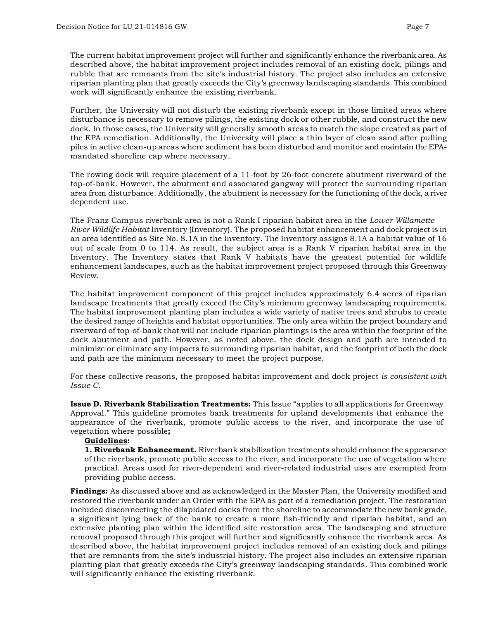The current habitat improvement project will further and significantly enhance the riverbank area. As described above, the habitat improvement project includes removal of an existing dock, pilings and rubble that are remnants from the site's industrial history. The project also includes an extensive riparian planting plan that greatly exceeds the City's greenway landscaping standards. This combined work will significantly enhance the existing riverbank.

Further, the University will not disturb the existing riverbank except in those limited areas where disturbance is necessary to remove pilings, the existing dock or other rubble, and construct the new dock. In those cases, the University will generally smooth areas to match the slope created as part of the EPA remediation. Additionally, the University will place a thin layer of clean sand after pulling piles in active clean-up areas where sediment has been disturbed and monitor and maintain the EPAmandated shoreline cap where necessary.

The rowing dock will require placement of a 11-foot by 26-foot concrete abutment riverward of the top-of-bank. However, the abutment and associated gangway will protect the surrounding riparian area from disturbance. Additionally, the abutment is necessary for the functioning of the dock, a river dependent use.

The Franz Campus riverbank area is not a Rank I riparian habitat area in the *Lower Willamette River Wildlife Habitat* Inventory (Inventory). The proposed habitat enhancement and dock project is in an area identified as Site No. 8.1A in the Inventory. The Inventory assigns 8.1A a habitat value of 16 out of scale from 0 to 114. As result, the subject area is a Rank V riparian habitat area in the Inventory. The Inventory states that Rank V habitats have the greatest potential for wildlife enhancement landscapes, such as the habitat improvement project proposed through this Greenway Review.

The habitat improvement component of this project includes approximately 6.4 acres of riparian landscape treatments that greatly exceed the City's minimum greenway landscaping requirements. The habitat improvement planting plan includes a wide variety of native trees and shrubs to create the desired range of heights and habitat opportunities. The only area within the project boundary and riverward of top-of-bank that will not include riparian plantings is the area within the footprint of the dock abutment and path. However, as noted above, the dock design and path are intended to minimize or eliminate any impacts to surrounding riparian habitat, and the footprint of both the dock and path are the minimum necessary to meet the project purpose.

For these collective reasons, the proposed habitat improvement and dock project *is consistent with Issue C.* 

**Issue D. Riverbank Stabilization Treatments:** This Issue "applies to all applications for Greenway Approval." This guideline promotes bank treatments for upland developments that enhance the appearance of the riverbank, promote public access to the river, and incorporate the use of vegetation where possible**;** 

### **Guidelines:**

**1. Riverbank Enhancement.** Riverbank stabilization treatments should enhance the appearance of the riverbank, promote public access to the river, and incorporate the use of vegetation where practical. Areas used for river-dependent and river-related industrial uses are exempted from providing public access.

**Findings:** As discussed above and as acknowledged in the Master Plan, the University modified and restored the riverbank under an Order with the EPA as part of a remediation project. The restoration included disconnecting the dilapidated docks from the shoreline to accommodate the new bank grade, a significant lying back of the bank to create a more fish-friendly and riparian habitat, and an extensive planting plan within the identified site restoration area. The landscaping and structure removal proposed through this project will further and significantly enhance the riverbank area. As described above, the habitat improvement project includes removal of an existing dock and pilings that are remnants from the site's industrial history. The project also includes an extensive riparian planting plan that greatly exceeds the City's greenway landscaping standards. This combined work will significantly enhance the existing riverbank.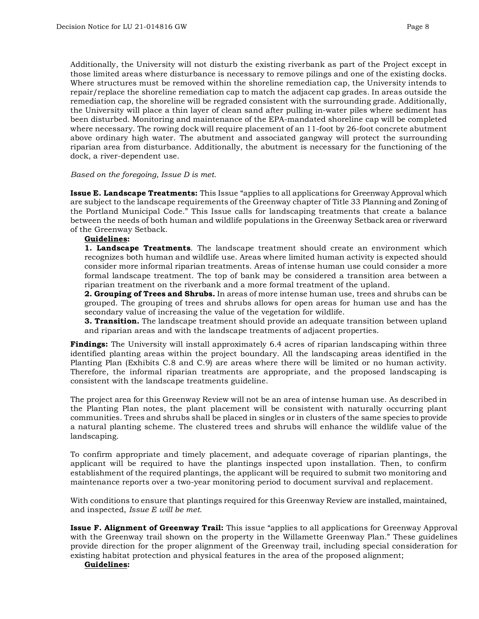Additionally, the University will not disturb the existing riverbank as part of the Project except in those limited areas where disturbance is necessary to remove pilings and one of the existing docks. Where structures must be removed within the shoreline remediation cap, the University intends to repair/replace the shoreline remediation cap to match the adjacent cap grades. In areas outside the remediation cap, the shoreline will be regraded consistent with the surrounding grade. Additionally, the University will place a thin layer of clean sand after pulling in-water piles where sediment has been disturbed. Monitoring and maintenance of the EPA-mandated shoreline cap will be completed where necessary. The rowing dock will require placement of an 11-foot by 26-foot concrete abutment above ordinary high water. The abutment and associated gangway will protect the surrounding riparian area from disturbance. Additionally, the abutment is necessary for the functioning of the dock, a river-dependent use.

#### *Based on the foregoing, Issue D is met.*

**Issue E. Landscape Treatments:** This Issue "applies to all applications for Greenway Approval which are subject to the landscape requirements of the Greenway chapter of Title 33 Planning and Zoning of the Portland Municipal Code." This Issue calls for landscaping treatments that create a balance between the needs of both human and wildlife populations in the Greenway Setback area or riverward of the Greenway Setback.

#### **Guidelines:**

**1. Landscape Treatments**. The landscape treatment should create an environment which recognizes both human and wildlife use. Areas where limited human activity is expected should consider more informal riparian treatments. Areas of intense human use could consider a more formal landscape treatment. The top of bank may be considered a transition area between a riparian treatment on the riverbank and a more formal treatment of the upland.

**2. Grouping of Trees and Shrubs.** In areas of more intense human use, trees and shrubs can be grouped. The grouping of trees and shrubs allows for open areas for human use and has the secondary value of increasing the value of the vegetation for wildlife.

**3. Transition.** The landscape treatment should provide an adequate transition between upland and riparian areas and with the landscape treatments of adjacent properties.

**Findings:** The University will install approximately 6.4 acres of riparian landscaping within three identified planting areas within the project boundary. All the landscaping areas identified in the Planting Plan (Exhibits C.8 and C.9) are areas where there will be limited or no human activity. Therefore, the informal riparian treatments are appropriate, and the proposed landscaping is consistent with the landscape treatments guideline.

The project area for this Greenway Review will not be an area of intense human use. As described in the Planting Plan notes, the plant placement will be consistent with naturally occurring plant communities. Trees and shrubs shall be placed in singles or in clusters of the same species to provide a natural planting scheme. The clustered trees and shrubs will enhance the wildlife value of the landscaping.

To confirm appropriate and timely placement, and adequate coverage of riparian plantings, the applicant will be required to have the plantings inspected upon installation. Then, to confirm establishment of the required plantings, the applicant will be required to submit two monitoring and maintenance reports over a two-year monitoring period to document survival and replacement.

With conditions to ensure that plantings required for this Greenway Review are installed, maintained, and inspected, *Issue E will be met.*

**Issue F. Alignment of Greenway Trail:** This issue "applies to all applications for Greenway Approval with the Greenway trail shown on the property in the Willamette Greenway Plan." These guidelines provide direction for the proper alignment of the Greenway trail, including special consideration for existing habitat protection and physical features in the area of the proposed alignment;

#### **Guidelines:**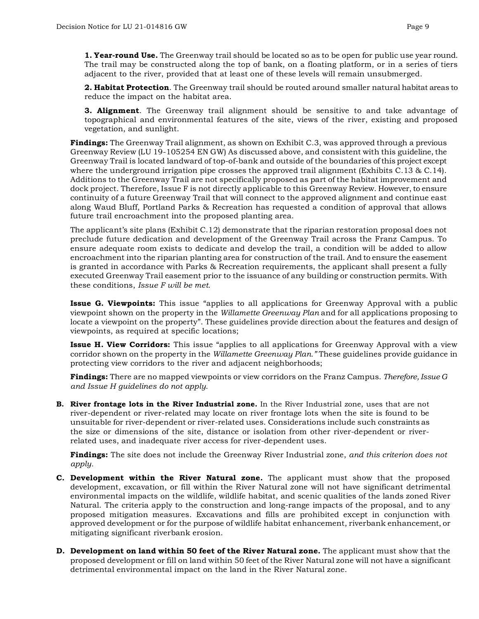**1. Year-round Use.** The Greenway trail should be located so as to be open for public use year round. The trail may be constructed along the top of bank, on a floating platform, or in a series of tiers adjacent to the river, provided that at least one of these levels will remain unsubmerged.

**2. Habitat Protection**. The Greenway trail should be routed around smaller natural habitat areas to reduce the impact on the habitat area.

**3. Alignment**. The Greenway trail alignment should be sensitive to and take advantage of topographical and environmental features of the site, views of the river, existing and proposed vegetation, and sunlight.

**Findings:** The Greenway Trail alignment, as shown on Exhibit C.3, was approved through a previous Greenway Review (LU 19-105254 EN GW) As discussed above, and consistent with this guideline, the Greenway Trail is located landward of top-of-bank and outside of the boundaries of this project except where the underground irrigation pipe crosses the approved trail alignment (Exhibits C.13 & C.14). Additions to the Greenway Trail are not specifically proposed as part of the habitat improvement and dock project. Therefore, Issue F is not directly applicable to this Greenway Review. However, to ensure continuity of a future Greenway Trail that will connect to the approved alignment and continue east along Waud Bluff, Portland Parks & Recreation has requested a condition of approval that allows future trail encroachment into the proposed planting area.

The applicant's site plans (Exhibit C.12) demonstrate that the riparian restoration proposal does not preclude future dedication and development of the Greenway Trail across the Franz Campus. To ensure adequate room exists to dedicate and develop the trail, a condition will be added to allow encroachment into the riparian planting area for construction of the trail. And to ensure the easement is granted in accordance with Parks & Recreation requirements, the applicant shall present a fully executed Greenway Trail easement prior to the issuance of any building or construction permits. With these conditions, *Issue F will be met.*

**Issue G. Viewpoints:** This issue "applies to all applications for Greenway Approval with a public viewpoint shown on the property in the *Willamette Greenway Plan* and for all applications proposing to locate a viewpoint on the property". These guidelines provide direction about the features and design of viewpoints, as required at specific locations;

**Issue H. View Corridors:** This issue "applies to all applications for Greenway Approval with a view corridor shown on the property in the *Willamette Greenway Plan."* These guidelines provide guidance in protecting view corridors to the river and adjacent neighborhoods;

**Findings:** There are no mapped viewpoints or view corridors on the Franz Campus. *Therefore, Issue G and Issue H guidelines do not apply.*

**B. River frontage lots in the River Industrial zone.** In the River Industrial zone, uses that are not river-dependent or river-related may locate on river frontage lots when the site is found to be unsuitable for river-dependent or river-related uses. Considerations include such constraints as the size or dimensions of the site, distance or isolation from other river-dependent or riverrelated uses, and inadequate river access for river-dependent uses.

**Findings:** The site does not include the Greenway River Industrial zone, *and this criterion does not apply.* 

- **C. Development within the River Natural zone.** The applicant must show that the proposed development, excavation, or fill within the River Natural zone will not have significant detrimental environmental impacts on the wildlife, wildlife habitat, and scenic qualities of the lands zoned River Natural. The criteria apply to the construction and long-range impacts of the proposal, and to any proposed mitigation measures. Excavations and fills are prohibited except in conjunction with approved development or for the purpose of wildlife habitat enhancement, riverbank enhancement, or mitigating significant riverbank erosion.
- **D. Development on land within 50 feet of the River Natural zone.** The applicant must show that the proposed development or fill on land within 50 feet of the River Natural zone will not have a significant detrimental environmental impact on the land in the River Natural zone.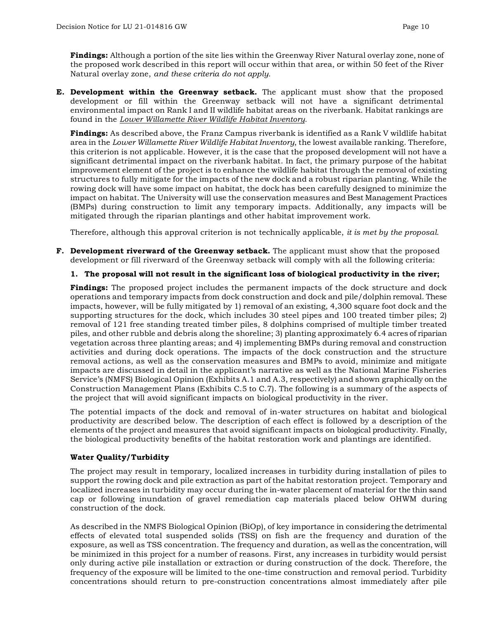**Findings:** Although a portion of the site lies within the Greenway River Natural overlay zone, none of the proposed work described in this report will occur within that area, or within 50 feet of the River Natural overlay zone, *and these criteria do not apply.*

**E. Development within the Greenway setback.** The applicant must show that the proposed development or fill within the Greenway setback will not have a significant detrimental environmental impact on Rank I and II wildlife habitat areas on the riverbank. Habitat rankings are found in the *Lower Willamette River Wildlife Habitat Inventory.*

**Findings:** As described above, the Franz Campus riverbank is identified as a Rank V wildlife habitat area in the *Lower Willamette River Wildlife Habitat Inventory*, the lowest available ranking. Therefore, this criterion is not applicable. However, it is the case that the proposed development will not have a significant detrimental impact on the riverbank habitat. In fact, the primary purpose of the habitat improvement element of the project is to enhance the wildlife habitat through the removal of existing structures to fully mitigate for the impacts of the new dock and a robust riparian planting. While the rowing dock will have some impact on habitat, the dock has been carefully designed to minimize the impact on habitat. The University will use the conservation measures and Best Management Practices (BMPs) during construction to limit any temporary impacts. Additionally, any impacts will be mitigated through the riparian plantings and other habitat improvement work.

Therefore, although this approval criterion is not technically applicable, *it is met by the proposal.*

**F. Development riverward of the Greenway setback.** The applicant must show that the proposed development or fill riverward of the Greenway setback will comply with all the following criteria:

# **1. The proposal will not result in the significant loss of biological productivity in the river;**

**Findings:** The proposed project includes the permanent impacts of the dock structure and dock operations and temporary impacts from dock construction and dock and pile/dolphin removal. These impacts, however, will be fully mitigated by 1) removal of an existing, 4,300 square foot dock and the supporting structures for the dock, which includes 30 steel pipes and 100 treated timber piles; 2) removal of 121 free standing treated timber piles, 8 dolphins comprised of multiple timber treated piles, and other rubble and debris along the shoreline; 3) planting approximately 6.4 acres of riparian vegetation across three planting areas; and 4) implementing BMPs during removal and construction activities and during dock operations. The impacts of the dock construction and the structure removal actions, as well as the conservation measures and BMPs to avoid, minimize and mitigate impacts are discussed in detail in the applicant's narrative as well as the National Marine Fisheries Service's (NMFS) Biological Opinion (Exhibits A.1 and A.3, respectively) and shown graphically on the Construction Management Plans (Exhibits C.5 to C.7). The following is a summary of the aspects of the project that will avoid significant impacts on biological productivity in the river.

The potential impacts of the dock and removal of in-water structures on habitat and biological productivity are described below. The description of each effect is followed by a description of the elements of the project and measures that avoid significant impacts on biological productivity. Finally, the biological productivity benefits of the habitat restoration work and plantings are identified.

# **Water Quality/Turbidity**

The project may result in temporary, localized increases in turbidity during installation of piles to support the rowing dock and pile extraction as part of the habitat restoration project. Temporary and localized increases in turbidity may occur during the in-water placement of material for the thin sand cap or following inundation of gravel remediation cap materials placed below OHWM during construction of the dock.

As described in the NMFS Biological Opinion (BiOp), of key importance in considering the detrimental effects of elevated total suspended solids (TSS) on fish are the frequency and duration of the exposure, as well as TSS concentration. The frequency and duration, as well as the concentration, will be minimized in this project for a number of reasons. First, any increases in turbidity would persist only during active pile installation or extraction or during construction of the dock. Therefore, the frequency of the exposure will be limited to the one-time construction and removal period. Turbidity concentrations should return to pre-construction concentrations almost immediately after pile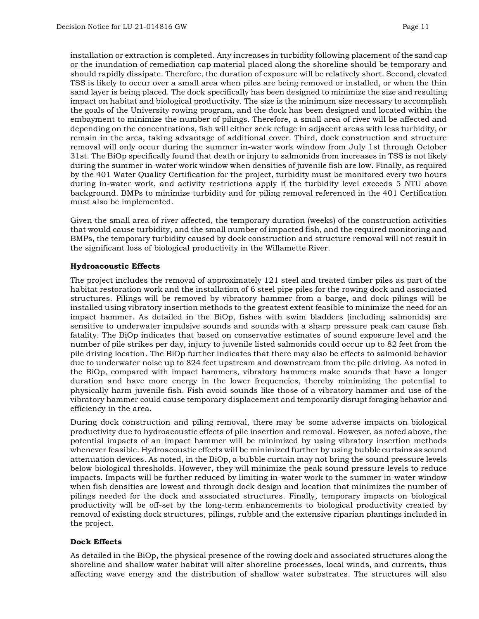installation or extraction is completed. Any increases in turbidity following placement of the sand cap or the inundation of remediation cap material placed along the shoreline should be temporary and should rapidly dissipate. Therefore, the duration of exposure will be relatively short. Second, elevated TSS is likely to occur over a small area when piles are being removed or installed, or when the thin sand layer is being placed. The dock specifically has been designed to minimize the size and resulting impact on habitat and biological productivity. The size is the minimum size necessary to accomplish the goals of the University rowing program, and the dock has been designed and located within the embayment to minimize the number of pilings. Therefore, a small area of river will be affected and depending on the concentrations, fish will either seek refuge in adjacent areas with less turbidity, or remain in the area, taking advantage of additional cover. Third, dock construction and structure removal will only occur during the summer in-water work window from July 1st through October 31st. The BiOp specifically found that death or injury to salmonids from increases in TSS is not likely during the summer in-water work window when densities of juvenile fish are low. Finally, as required by the 401 Water Quality Certification for the project, turbidity must be monitored every two hours during in-water work, and activity restrictions apply if the turbidity level exceeds 5 NTU above background. BMPs to minimize turbidity and for piling removal referenced in the 401 Certification must also be implemented.

Given the small area of river affected, the temporary duration (weeks) of the construction activities that would cause turbidity, and the small number of impacted fish, and the required monitoring and BMPs, the temporary turbidity caused by dock construction and structure removal will not result in the significant loss of biological productivity in the Willamette River.

# **Hydroacoustic Effects**

The project includes the removal of approximately 121 steel and treated timber piles as part of the habitat restoration work and the installation of 6 steel pipe piles for the rowing dock and associated structures. Pilings will be removed by vibratory hammer from a barge, and dock pilings will be installed using vibratory insertion methods to the greatest extent feasible to minimize the need for an impact hammer. As detailed in the BiOp, fishes with swim bladders (including salmonids) are sensitive to underwater impulsive sounds and sounds with a sharp pressure peak can cause fish fatality. The BiOp indicates that based on conservative estimates of sound exposure level and the number of pile strikes per day, injury to juvenile listed salmonids could occur up to 82 feet from the pile driving location. The BiOp further indicates that there may also be effects to salmonid behavior due to underwater noise up to 824 feet upstream and downstream from the pile driving. As noted in the BiOp, compared with impact hammers, vibratory hammers make sounds that have a longer duration and have more energy in the lower frequencies, thereby minimizing the potential to physically harm juvenile fish. Fish avoid sounds like those of a vibratory hammer and use of the vibratory hammer could cause temporary displacement and temporarily disrupt foraging behavior and efficiency in the area.

During dock construction and piling removal, there may be some adverse impacts on biological productivity due to hydroacoustic effects of pile insertion and removal. However, as noted above, the potential impacts of an impact hammer will be minimized by using vibratory insertion methods whenever feasible. Hydroacoustic effects will be minimized further by using bubble curtains as sound attenuation devices. As noted, in the BiOp, a bubble curtain may not bring the sound pressure levels below biological thresholds. However, they will minimize the peak sound pressure levels to reduce impacts. Impacts will be further reduced by limiting in-water work to the summer in-water window when fish densities are lowest and through dock design and location that minimizes the number of pilings needed for the dock and associated structures. Finally, temporary impacts on biological productivity will be off-set by the long-term enhancements to biological productivity created by removal of existing dock structures, pilings, rubble and the extensive riparian plantings included in the project.

### **Dock Effects**

As detailed in the BiOp, the physical presence of the rowing dock and associated structures along the shoreline and shallow water habitat will alter shoreline processes, local winds, and currents, thus affecting wave energy and the distribution of shallow water substrates. The structures will also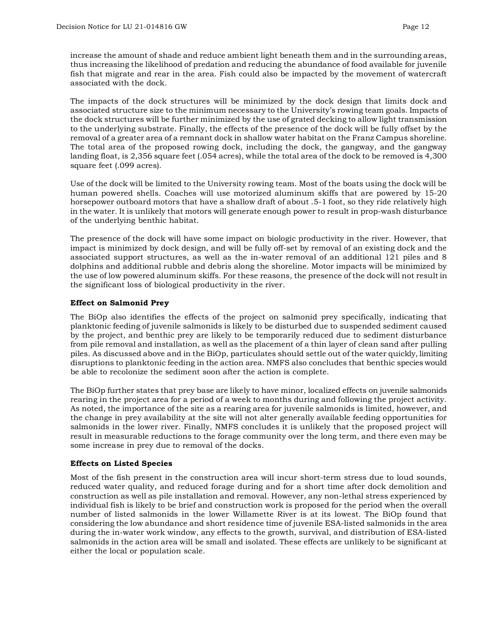increase the amount of shade and reduce ambient light beneath them and in the surrounding areas, thus increasing the likelihood of predation and reducing the abundance of food available for juvenile fish that migrate and rear in the area. Fish could also be impacted by the movement of watercraft associated with the dock.

The impacts of the dock structures will be minimized by the dock design that limits dock and associated structure size to the minimum necessary to the University's rowing team goals. Impacts of the dock structures will be further minimized by the use of grated decking to allow light transmission to the underlying substrate. Finally, the effects of the presence of the dock will be fully offset by the removal of a greater area of a remnant dock in shallow water habitat on the Franz Campus shoreline. The total area of the proposed rowing dock, including the dock, the gangway, and the gangway landing float, is 2,356 square feet (.054 acres), while the total area of the dock to be removed is 4,300 square feet (.099 acres).

Use of the dock will be limited to the University rowing team. Most of the boats using the dock will be human powered shells. Coaches will use motorized aluminum skiffs that are powered by 15-20 horsepower outboard motors that have a shallow draft of about .5-1 foot, so they ride relatively high in the water. It is unlikely that motors will generate enough power to result in prop-wash disturbance of the underlying benthic habitat.

The presence of the dock will have some impact on biologic productivity in the river. However, that impact is minimized by dock design, and will be fully off-set by removal of an existing dock and the associated support structures, as well as the in-water removal of an additional 121 piles and 8 dolphins and additional rubble and debris along the shoreline. Motor impacts will be minimized by the use of low powered aluminum skiffs. For these reasons, the presence of the dock will not result in the significant loss of biological productivity in the river.

# **Effect on Salmonid Prey**

The BiOp also identifies the effects of the project on salmonid prey specifically, indicating that planktonic feeding of juvenile salmonids is likely to be disturbed due to suspended sediment caused by the project, and benthic prey are likely to be temporarily reduced due to sediment disturbance from pile removal and installation, as well as the placement of a thin layer of clean sand after pulling piles. As discussed above and in the BiOp, particulates should settle out of the water quickly, limiting disruptions to planktonic feeding in the action area. NMFS also concludes that benthic species would be able to recolonize the sediment soon after the action is complete.

The BiOp further states that prey base are likely to have minor, localized effects on juvenile salmonids rearing in the project area for a period of a week to months during and following the project activity. As noted, the importance of the site as a rearing area for juvenile salmonids is limited, however, and the change in prey availability at the site will not alter generally available feeding opportunities for salmonids in the lower river. Finally, NMFS concludes it is unlikely that the proposed project will result in measurable reductions to the forage community over the long term, and there even may be some increase in prey due to removal of the docks.

# **Effects on Listed Species**

Most of the fish present in the construction area will incur short-term stress due to loud sounds, reduced water quality, and reduced forage during and for a short time after dock demolition and construction as well as pile installation and removal. However, any non-lethal stress experienced by individual fish is likely to be brief and construction work is proposed for the period when the overall number of listed salmonids in the lower Willamette River is at its lowest. The BiOp found that considering the low abundance and short residence time of juvenile ESA-listed salmonids in the area during the in-water work window, any effects to the growth, survival, and distribution of ESA-listed salmonids in the action area will be small and isolated. These effects are unlikely to be significant at either the local or population scale.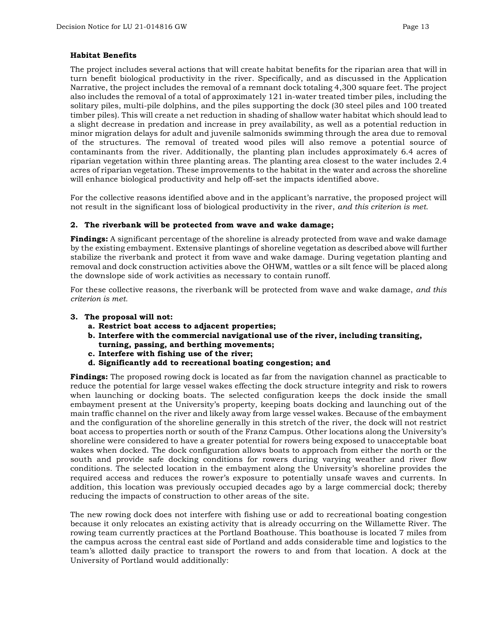# **Habitat Benefits**

The project includes several actions that will create habitat benefits for the riparian area that will in turn benefit biological productivity in the river. Specifically, and as discussed in the Application Narrative, the project includes the removal of a remnant dock totaling 4,300 square feet. The project also includes the removal of a total of approximately 121 in-water treated timber piles, including the solitary piles, multi-pile dolphins, and the piles supporting the dock (30 steel piles and 100 treated timber piles). This will create a net reduction in shading of shallow water habitat which should lead to a slight decrease in predation and increase in prey availability, as well as a potential reduction in minor migration delays for adult and juvenile salmonids swimming through the area due to removal of the structures. The removal of treated wood piles will also remove a potential source of contaminants from the river. Additionally, the planting plan includes approximately 6.4 acres of riparian vegetation within three planting areas. The planting area closest to the water includes 2.4 acres of riparian vegetation. These improvements to the habitat in the water and across the shoreline will enhance biological productivity and help off-set the impacts identified above.

For the collective reasons identified above and in the applicant's narrative, the proposed project will not result in the significant loss of biological productivity in the river, *and this criterion is met.*

# **2. The riverbank will be protected from wave and wake damage;**

**Findings:** A significant percentage of the shoreline is already protected from wave and wake damage by the existing embayment. Extensive plantings of shoreline vegetation as described above will further stabilize the riverbank and protect it from wave and wake damage. During vegetation planting and removal and dock construction activities above the OHWM, wattles or a silt fence will be placed along the downslope side of work activities as necessary to contain runoff.

For these collective reasons, the riverbank will be protected from wave and wake damage, *and this criterion is met.* 

### **3. The proposal will not:**

- **a. Restrict boat access to adjacent properties;**
- **b. Interfere with the commercial navigational use of the river, including transiting, turning, passing, and berthing movements;**
- **c. Interfere with fishing use of the river;**
- **d. Significantly add to recreational boating congestion; and**

**Findings:** The proposed rowing dock is located as far from the navigation channel as practicable to reduce the potential for large vessel wakes effecting the dock structure integrity and risk to rowers when launching or docking boats. The selected configuration keeps the dock inside the small embayment present at the University's property, keeping boats docking and launching out of the main traffic channel on the river and likely away from large vessel wakes. Because of the embayment and the configuration of the shoreline generally in this stretch of the river, the dock will not restrict boat access to properties north or south of the Franz Campus. Other locations along the University's shoreline were considered to have a greater potential for rowers being exposed to unacceptable boat wakes when docked. The dock configuration allows boats to approach from either the north or the south and provide safe docking conditions for rowers during varying weather and river flow conditions. The selected location in the embayment along the University's shoreline provides the required access and reduces the rower's exposure to potentially unsafe waves and currents. In addition, this location was previously occupied decades ago by a large commercial dock; thereby reducing the impacts of construction to other areas of the site.

The new rowing dock does not interfere with fishing use or add to recreational boating congestion because it only relocates an existing activity that is already occurring on the Willamette River. The rowing team currently practices at the Portland Boathouse. This boathouse is located 7 miles from the campus across the central east side of Portland and adds considerable time and logistics to the team's allotted daily practice to transport the rowers to and from that location. A dock at the University of Portland would additionally: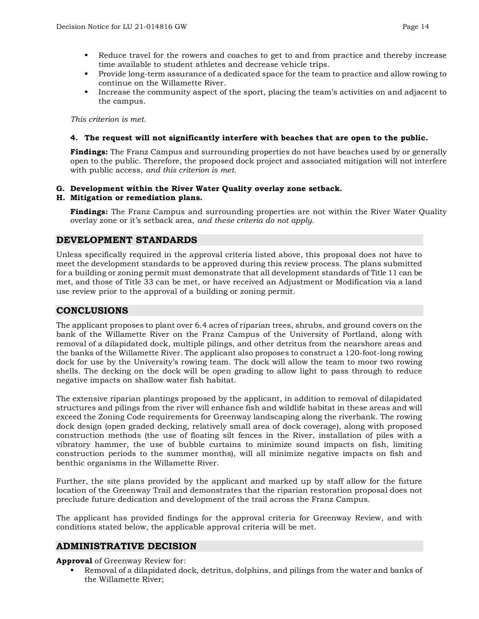- Reduce travel for the rowers and coaches to get to and from practice and thereby increase time available to student athletes and decrease vehicle trips.
- **Provide long-term assurance of a dedicated space for the team to practice and allow rowing to** continue on the Willamette River.
- Increase the community aspect of the sport, placing the team's activities on and adjacent to the campus.

*This criterion is met.* 

### **4. The request will not significantly interfere with beaches that are open to the public.**

**Findings:** The Franz Campus and surrounding properties do not have beaches used by or generally open to the public. Therefore, the proposed dock project and associated mitigation will not interfere with public access, *and this criterion is met.*

# **G. Development within the River Water Quality overlay zone setback.**

# **H. Mitigation or remediation plans.**

**Findings:** The Franz Campus and surrounding properties are not within the River Water Quality overlay zone or it's setback area, *and these criteria do not apply*.

# **DEVELOPMENT STANDARDS**

Unless specifically required in the approval criteria listed above, this proposal does not have to meet the development standards to be approved during this review process. The plans submitted for a building or zoning permit must demonstrate that all development standards of Title 11 can be met, and those of Title 33 can be met, or have received an Adjustment or Modification via a land use review prior to the approval of a building or zoning permit.

# **CONCLUSIONS**

The applicant proposes to plant over 6.4 acres of riparian trees, shrubs, and ground covers on the bank of the Willamette River on the Franz Campus of the University of Portland, along with removal of a dilapidated dock, multiple pilings, and other detritus from the nearshore areas and the banks of the Willamette River. The applicant also proposes to construct a 120-foot-long rowing dock for use by the University's rowing team. The dock will allow the team to moor two rowing shells. The decking on the dock will be open grading to allow light to pass through to reduce negative impacts on shallow water fish habitat.

The extensive riparian plantings proposed by the applicant, in addition to removal of dilapidated structures and pilings from the river will enhance fish and wildlife habitat in these areas and will exceed the Zoning Code requirements for Greenway landscaping along the riverbank. The rowing dock design (open graded decking, relatively small area of dock coverage), along with proposed construction methods (the use of floating silt fences in the River, installation of piles with a vibratory hammer, the use of bubble curtains to minimize sound impacts on fish, limiting construction periods to the summer months), will all minimize negative impacts on fish and benthic organisms in the Willamette River.

Further, the site plans provided by the applicant and marked up by staff allow for the future location of the Greenway Trail and demonstrates that the riparian restoration proposal does not preclude future dedication and development of the trail across the Franz Campus.

The applicant has provided findings for the approval criteria for Greenway Review, and with conditions stated below, the applicable approval criteria will be met.

# **ADMINISTRATIVE DECISION**

**Approval** of Greenway Review for:

 Removal of a dilapidated dock, detritus, dolphins, and pilings from the water and banks of the Willamette River;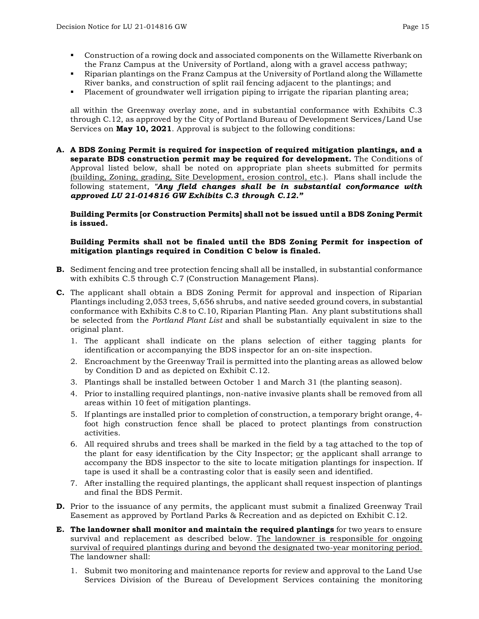- Construction of a rowing dock and associated components on the Willamette Riverbank on the Franz Campus at the University of Portland, along with a gravel access pathway;
- Riparian plantings on the Franz Campus at the University of Portland along the Willamette River banks, and construction of split rail fencing adjacent to the plantings; and
- Placement of groundwater well irrigation piping to irrigate the riparian planting area;

all within the Greenway overlay zone, and in substantial conformance with Exhibits C.3 through C.12, as approved by the City of Portland Bureau of Development Services/Land Use Services on **May 10, 2021**. Approval is subject to the following conditions:

**A. A BDS Zoning Permit is required for inspection of required mitigation plantings, and a separate BDS construction permit may be required for development.** The Conditions of Approval listed below, shall be noted on appropriate plan sheets submitted for permits (building, Zoning, grading, Site Development, erosion control, etc.). Plans shall include the following statement, *"Any field changes shall be in substantial conformance with approved LU 21-014816 GW Exhibits C.3 through C.12."*

**Building Permits [or Construction Permits] shall not be issued until a BDS Zoning Permit is issued.**

# **Building Permits shall not be finaled until the BDS Zoning Permit for inspection of mitigation plantings required in Condition C below is finaled.**

- **B.** Sediment fencing and tree protection fencing shall all be installed, in substantial conformance with exhibits C.5 through C.7 (Construction Management Plans).
- **C.** The applicant shall obtain a BDS Zoning Permit for approval and inspection of Riparian Plantings including 2,053 trees, 5,656 shrubs, and native seeded ground covers, in substantial conformance with Exhibits C.8 to C.10, Riparian Planting Plan. Any plant substitutions shall be selected from the *Portland Plant List* and shall be substantially equivalent in size to the original plant.
	- 1. The applicant shall indicate on the plans selection of either tagging plants for identification or accompanying the BDS inspector for an on-site inspection.
	- 2. Encroachment by the Greenway Trail is permitted into the planting areas as allowed below by Condition D and as depicted on Exhibit C.12.
	- 3. Plantings shall be installed between October 1 and March 31 (the planting season).
	- 4. Prior to installing required plantings, non-native invasive plants shall be removed from all areas within 10 feet of mitigation plantings.
	- 5. If plantings are installed prior to completion of construction, a temporary bright orange, 4 foot high construction fence shall be placed to protect plantings from construction activities.
	- 6. All required shrubs and trees shall be marked in the field by a tag attached to the top of the plant for easy identification by the City Inspector; or the applicant shall arrange to accompany the BDS inspector to the site to locate mitigation plantings for inspection. If tape is used it shall be a contrasting color that is easily seen and identified.
	- 7. After installing the required plantings, the applicant shall request inspection of plantings and final the BDS Permit.
- **D.** Prior to the issuance of any permits, the applicant must submit a finalized Greenway Trail Easement as approved by Portland Parks & Recreation and as depicted on Exhibit C.12.
- **E. The landowner shall monitor and maintain the required plantings** for two years to ensure survival and replacement as described below. The landowner is responsible for ongoing survival of required plantings during and beyond the designated two-year monitoring period. The landowner shall:
	- 1. Submit two monitoring and maintenance reports for review and approval to the Land Use Services Division of the Bureau of Development Services containing the monitoring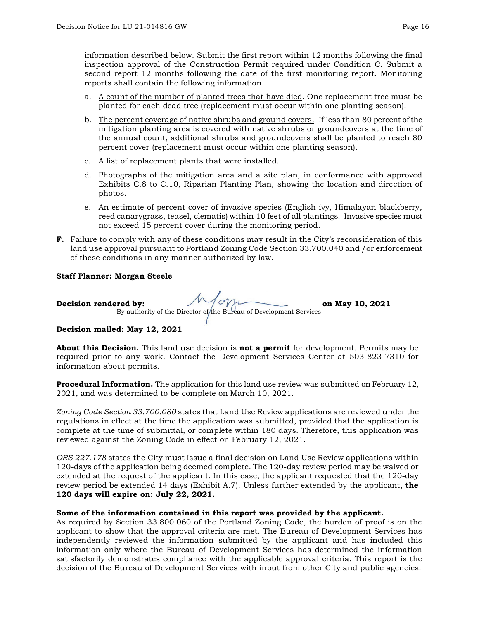information described below. Submit the first report within 12 months following the final inspection approval of the Construction Permit required under Condition C. Submit a second report 12 months following the date of the first monitoring report. Monitoring reports shall contain the following information.

- a. A count of the number of planted trees that have died. One replacement tree must be planted for each dead tree (replacement must occur within one planting season).
- b. The percent coverage of native shrubs and ground covers. If less than 80 percent of the mitigation planting area is covered with native shrubs or groundcovers at the time of the annual count, additional shrubs and groundcovers shall be planted to reach 80 percent cover (replacement must occur within one planting season).
- c. A list of replacement plants that were installed.
- d. Photographs of the mitigation area and a site plan, in conformance with approved Exhibits C.8 to C.10, Riparian Planting Plan, showing the location and direction of photos.
- e. An estimate of percent cover of invasive species (English ivy, Himalayan blackberry, reed canarygrass, teasel, clematis) within 10 feet of all plantings. Invasive species must not exceed 15 percent cover during the monitoring period.
- **F.** Failure to comply with any of these conditions may result in the City's reconsideration of this land use approval pursuant to Portland Zoning Code Section 33.700.040 and /or enforcement of these conditions in any manner authorized by law.

# **Staff Planner: Morgan Steele**

| Decision rendered by: | Mam                                                                | on May 10, 2021 |
|-----------------------|--------------------------------------------------------------------|-----------------|
|                       | By authority of the Director of the Bureau of Development Services |                 |

# **Decision mailed: May 12, 2021**

**About this Decision.** This land use decision is **not a permit** for development. Permits may be required prior to any work. Contact the Development Services Center at 503-823-7310 for information about permits.

**Procedural Information.** The application for this land use review was submitted on February 12, 2021, and was determined to be complete on March 10, 2021.

*Zoning Code Section 33.700.080* states that Land Use Review applications are reviewed under the regulations in effect at the time the application was submitted, provided that the application is complete at the time of submittal, or complete within 180 days. Therefore, this application was reviewed against the Zoning Code in effect on February 12, 2021.

*ORS 227.178* states the City must issue a final decision on Land Use Review applications within 120-days of the application being deemed complete. The 120-day review period may be waived or extended at the request of the applicant. In this case, the applicant requested that the 120-day review period be extended 14 days (Exhibit A.7). Unless further extended by the applicant, **the 120 days will expire on: July 22, 2021.**

# **Some of the information contained in this report was provided by the applicant.**

As required by Section 33.800.060 of the Portland Zoning Code, the burden of proof is on the applicant to show that the approval criteria are met. The Bureau of Development Services has independently reviewed the information submitted by the applicant and has included this information only where the Bureau of Development Services has determined the information satisfactorily demonstrates compliance with the applicable approval criteria. This report is the decision of the Bureau of Development Services with input from other City and public agencies.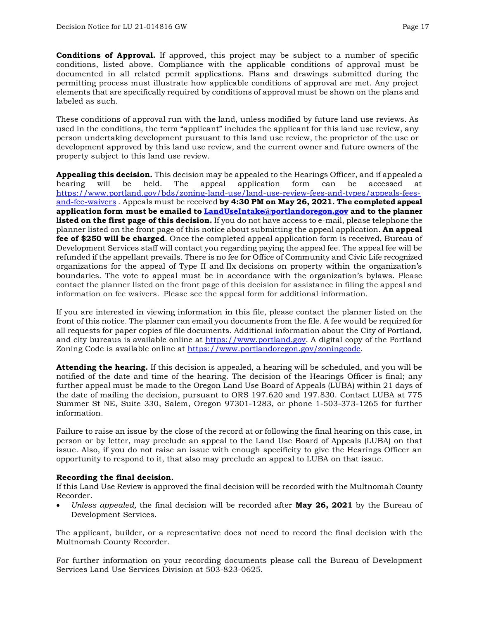**Conditions of Approval.** If approved, this project may be subject to a number of specific conditions, listed above. Compliance with the applicable conditions of approval must be documented in all related permit applications. Plans and drawings submitted during the permitting process must illustrate how applicable conditions of approval are met. Any project elements that are specifically required by conditions of approval must be shown on the plans and labeled as such.

These conditions of approval run with the land, unless modified by future land use reviews. As used in the conditions, the term "applicant" includes the applicant for this land use review, any person undertaking development pursuant to this land use review, the proprietor of the use or development approved by this land use review, and the current owner and future owners of the property subject to this land use review.

**Appealing this decision.** This decision may be appealed to the Hearings Officer, and if appealed a hearing will be held. The appeal application form can be accessed at [https://www.portland.gov/bds/zoning-land-use/land-use-review-fees-and-types/appeals-fees](https://www.portland.gov/bds/zoning-land-use/land-use-review-fees-and-types/appeals-fees-and-fee-waivers)[and-fee-waivers](https://www.portland.gov/bds/zoning-land-use/land-use-review-fees-and-types/appeals-fees-and-fee-waivers) . Appeals must be received **by 4:30 PM on May 26, 2021. The completed appeal application form must be emailed to [LandUseIntake@portlandoregon.gov](mailto:LandUseIntake@portlandoregon.gov) and to the planner listed on the first page of this decision.** If you do not have access to e-mail, please telephone the planner listed on the front page of this notice about submitting the appeal application. **An appeal fee of \$250 will be charged**. Once the completed appeal application form is received, Bureau of Development Services staff will contact you regarding paying the appeal fee. The appeal fee will be refunded if the appellant prevails. There is no fee for Office of Community and Civic Life recognized organizations for the appeal of Type II and IIx decisions on property within the organization's boundaries. The vote to appeal must be in accordance with the organization's bylaws. Please contact the planner listed on the front page of this decision for assistance in filing the appeal and information on fee waivers. Please see the appeal form for additional information.

If you are interested in viewing information in this file, please contact the planner listed on the front of this notice. The planner can email you documents from the file. A fee would be required for all requests for paper copies of file documents. Additional information about the City of Portland, and city bureaus is available online at [https://www.portland.gov.](https://www.portland.gov/) A digital copy of the Portland Zoning Code is available online at [https://www.portlandoregon.gov/zoningcode.](https://www.portlandoregon.gov/zoningcode)

**Attending the hearing.** If this decision is appealed, a hearing will be scheduled, and you will be notified of the date and time of the hearing. The decision of the Hearings Officer is final; any further appeal must be made to the Oregon Land Use Board of Appeals (LUBA) within 21 days of the date of mailing the decision, pursuant to ORS 197.620 and 197.830. Contact LUBA at 775 Summer St NE, Suite 330, Salem, Oregon 97301-1283, or phone 1-503-373-1265 for further information.

Failure to raise an issue by the close of the record at or following the final hearing on this case, in person or by letter, may preclude an appeal to the Land Use Board of Appeals (LUBA) on that issue. Also, if you do not raise an issue with enough specificity to give the Hearings Officer an opportunity to respond to it, that also may preclude an appeal to LUBA on that issue.

#### **Recording the final decision.**

If this Land Use Review is approved the final decision will be recorded with the Multnomah County Recorder.

• *Unless appealed,* the final decision will be recorded after **May 26, 2021** by the Bureau of Development Services.

The applicant, builder, or a representative does not need to record the final decision with the Multnomah County Recorder.

For further information on your recording documents please call the Bureau of Development Services Land Use Services Division at 503-823-0625.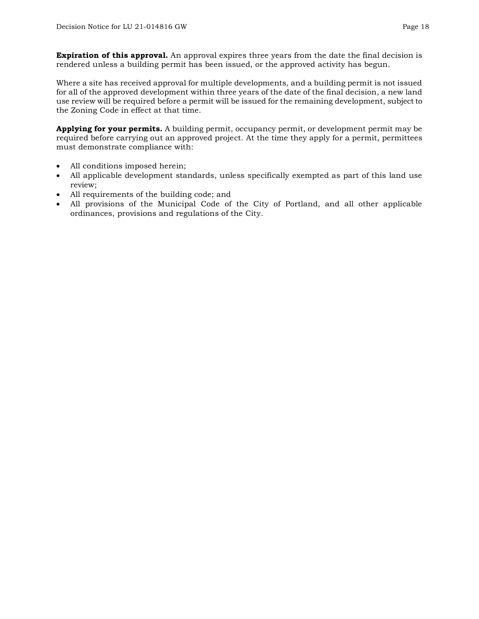**Expiration of this approval.** An approval expires three years from the date the final decision is rendered unless a building permit has been issued, or the approved activity has begun.

Where a site has received approval for multiple developments, and a building permit is not issued for all of the approved development within three years of the date of the final decision, a new land use review will be required before a permit will be issued for the remaining development, subject to the Zoning Code in effect at that time.

**Applying for your permits.** A building permit, occupancy permit, or development permit may be required before carrying out an approved project. At the time they apply for a permit, permittees must demonstrate compliance with:

- All conditions imposed herein;
- All applicable development standards, unless specifically exempted as part of this land use review;
- All requirements of the building code; and
- All provisions of the Municipal Code of the City of Portland, and all other applicable ordinances, provisions and regulations of the City.